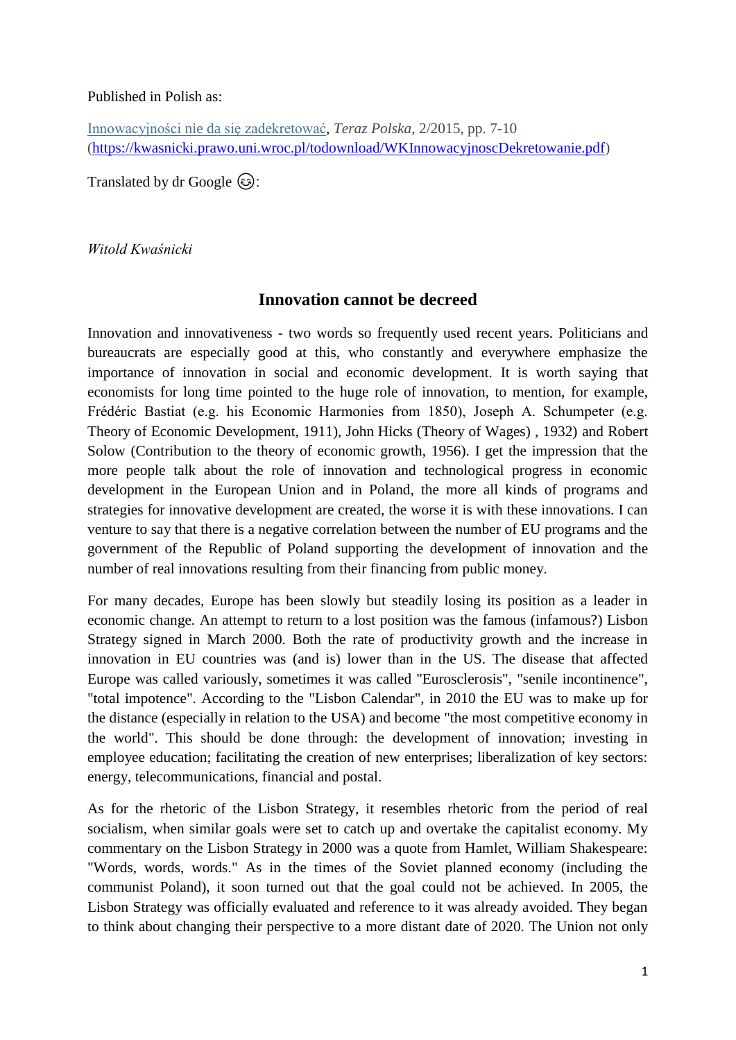## Published in Polish as:

[Innowacyjności](http://kwasnicki.prawo.uni.wroc.pl/todownload/WKInnowacyjnoscDekretowanie.pdf) nie da się zadekretować, *Teraz Polska*, 2/2015, pp. 7-10 [\(https://kwasnicki.prawo.uni.wroc.pl/todownload/WKInnowacyjnoscDekretowanie.pdf\)](https://kwasnicki.prawo.uni.wroc.pl/todownload/WKInnowacyjnoscDekretowanie.pdf)

Translated by dr Google  $\odot$ :

*Witold Kwaśnicki*

## **Innovation cannot be decreed**

Innovation and innovativeness - two words so frequently used recent years. Politicians and bureaucrats are especially good at this, who constantly and everywhere emphasize the importance of innovation in social and economic development. It is worth saying that economists for long time pointed to the huge role of innovation, to mention, for example, Frédéric Bastiat (e.g. his Economic Harmonies from 1850), Joseph A. Schumpeter (e.g. Theory of Economic Development, 1911), John Hicks (Theory of Wages) , 1932) and Robert Solow (Contribution to the theory of economic growth, 1956). I get the impression that the more people talk about the role of innovation and technological progress in economic development in the European Union and in Poland, the more all kinds of programs and strategies for innovative development are created, the worse it is with these innovations. I can venture to say that there is a negative correlation between the number of EU programs and the government of the Republic of Poland supporting the development of innovation and the number of real innovations resulting from their financing from public money.

For many decades, Europe has been slowly but steadily losing its position as a leader in economic change. An attempt to return to a lost position was the famous (infamous?) Lisbon Strategy signed in March 2000. Both the rate of productivity growth and the increase in innovation in EU countries was (and is) lower than in the US. The disease that affected Europe was called variously, sometimes it was called "Eurosclerosis", "senile incontinence", "total impotence". According to the "Lisbon Calendar", in 2010 the EU was to make up for the distance (especially in relation to the USA) and become "the most competitive economy in the world". This should be done through: the development of innovation; investing in employee education; facilitating the creation of new enterprises; liberalization of key sectors: energy, telecommunications, financial and postal.

As for the rhetoric of the Lisbon Strategy, it resembles rhetoric from the period of real socialism, when similar goals were set to catch up and overtake the capitalist economy. My commentary on the Lisbon Strategy in 2000 was a quote from Hamlet, William Shakespeare: "Words, words, words." As in the times of the Soviet planned economy (including the communist Poland), it soon turned out that the goal could not be achieved. In 2005, the Lisbon Strategy was officially evaluated and reference to it was already avoided. They began to think about changing their perspective to a more distant date of 2020. The Union not only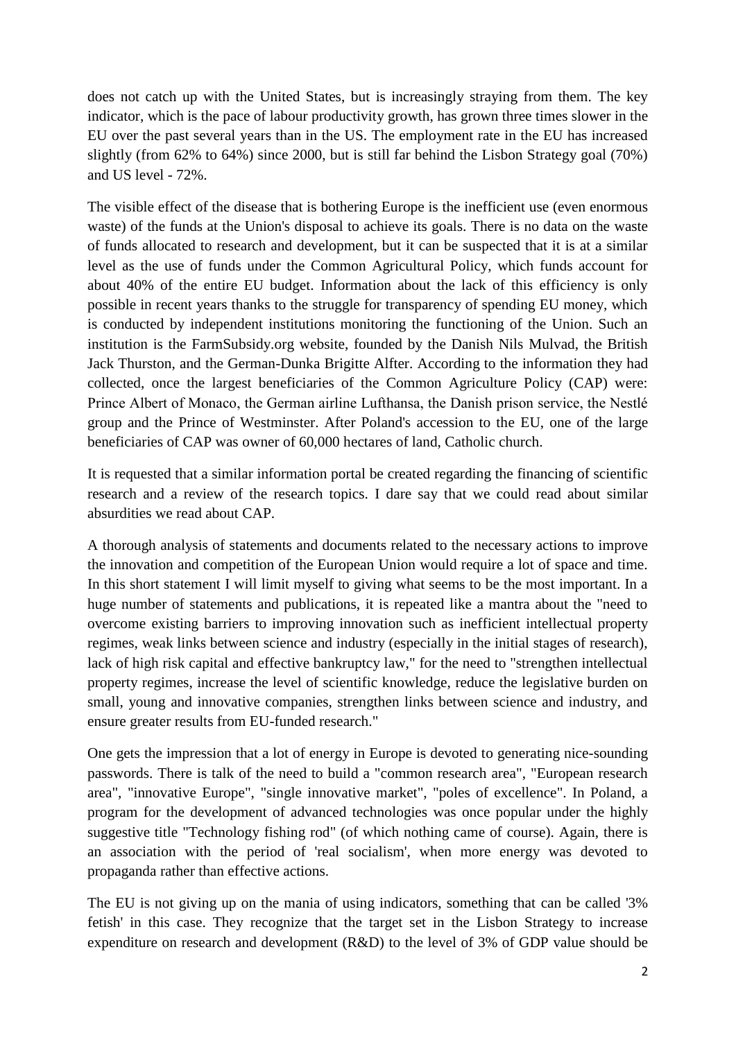does not catch up with the United States, but is increasingly straying from them. The key indicator, which is the pace of labour productivity growth, has grown three times slower in the EU over the past several years than in the US. The employment rate in the EU has increased slightly (from 62% to 64%) since 2000, but is still far behind the Lisbon Strategy goal (70%) and US level - 72%.

The visible effect of the disease that is bothering Europe is the inefficient use (even enormous waste) of the funds at the Union's disposal to achieve its goals. There is no data on the waste of funds allocated to research and development, but it can be suspected that it is at a similar level as the use of funds under the Common Agricultural Policy, which funds account for about 40% of the entire EU budget. Information about the lack of this efficiency is only possible in recent years thanks to the struggle for transparency of spending EU money, which is conducted by independent institutions monitoring the functioning of the Union. Such an institution is the FarmSubsidy.org website, founded by the Danish Nils Mulvad, the British Jack Thurston, and the German-Dunka Brigitte Alfter. According to the information they had collected, once the largest beneficiaries of the Common Agriculture Policy (CAP) were: Prince Albert of Monaco, the German airline Lufthansa, the Danish prison service, the Nestlé group and the Prince of Westminster. After Poland's accession to the EU, one of the large beneficiaries of CAP was owner of 60,000 hectares of land, Catholic church.

It is requested that a similar information portal be created regarding the financing of scientific research and a review of the research topics. I dare say that we could read about similar absurdities we read about CAP.

A thorough analysis of statements and documents related to the necessary actions to improve the innovation and competition of the European Union would require a lot of space and time. In this short statement I will limit myself to giving what seems to be the most important. In a huge number of statements and publications, it is repeated like a mantra about the "need to overcome existing barriers to improving innovation such as inefficient intellectual property regimes, weak links between science and industry (especially in the initial stages of research), lack of high risk capital and effective bankruptcy law," for the need to "strengthen intellectual property regimes, increase the level of scientific knowledge, reduce the legislative burden on small, young and innovative companies, strengthen links between science and industry, and ensure greater results from EU-funded research."

One gets the impression that a lot of energy in Europe is devoted to generating nice-sounding passwords. There is talk of the need to build a "common research area", "European research area", "innovative Europe", "single innovative market", "poles of excellence". In Poland, a program for the development of advanced technologies was once popular under the highly suggestive title "Technology fishing rod" (of which nothing came of course). Again, there is an association with the period of 'real socialism', when more energy was devoted to propaganda rather than effective actions.

The EU is not giving up on the mania of using indicators, something that can be called '3% fetish' in this case. They recognize that the target set in the Lisbon Strategy to increase expenditure on research and development (R&D) to the level of 3% of GDP value should be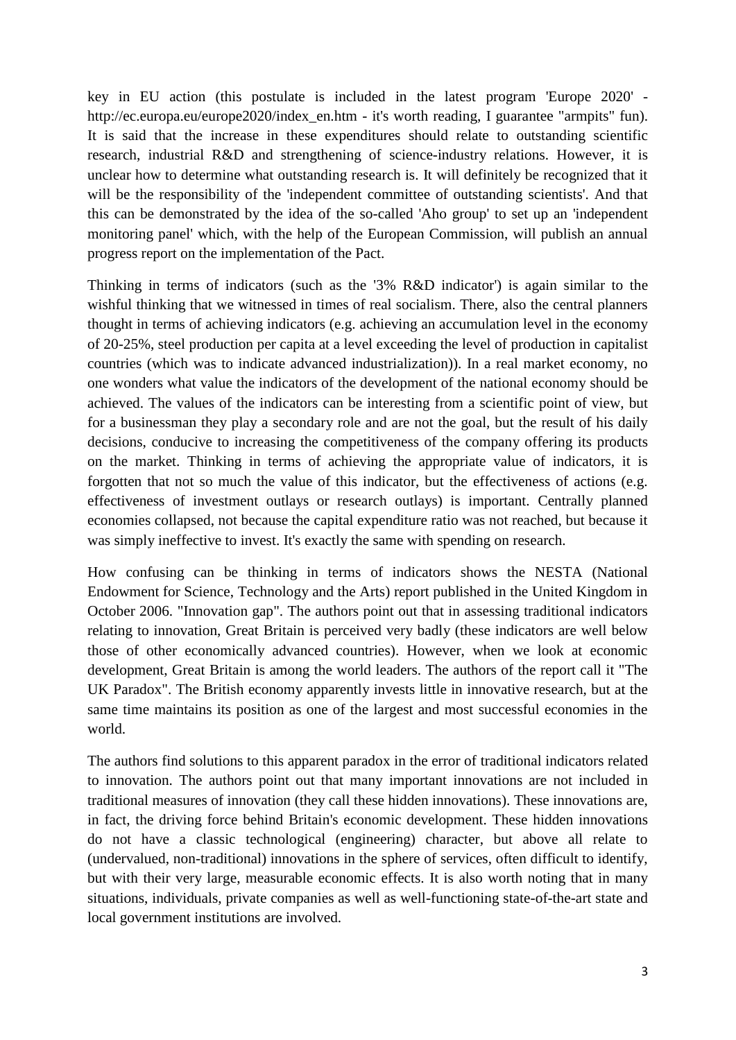key in EU action (this postulate is included in the latest program 'Europe 2020' http://ec.europa.eu/europe2020/index\_en.htm - it's worth reading, I guarantee "armpits" fun). It is said that the increase in these expenditures should relate to outstanding scientific research, industrial R&D and strengthening of science-industry relations. However, it is unclear how to determine what outstanding research is. It will definitely be recognized that it will be the responsibility of the 'independent committee of outstanding scientists'. And that this can be demonstrated by the idea of the so-called 'Aho group' to set up an 'independent monitoring panel' which, with the help of the European Commission, will publish an annual progress report on the implementation of the Pact.

Thinking in terms of indicators (such as the '3% R&D indicator') is again similar to the wishful thinking that we witnessed in times of real socialism. There, also the central planners thought in terms of achieving indicators (e.g. achieving an accumulation level in the economy of 20-25%, steel production per capita at a level exceeding the level of production in capitalist countries (which was to indicate advanced industrialization)). In a real market economy, no one wonders what value the indicators of the development of the national economy should be achieved. The values of the indicators can be interesting from a scientific point of view, but for a businessman they play a secondary role and are not the goal, but the result of his daily decisions, conducive to increasing the competitiveness of the company offering its products on the market. Thinking in terms of achieving the appropriate value of indicators, it is forgotten that not so much the value of this indicator, but the effectiveness of actions (e.g. effectiveness of investment outlays or research outlays) is important. Centrally planned economies collapsed, not because the capital expenditure ratio was not reached, but because it was simply ineffective to invest. It's exactly the same with spending on research.

How confusing can be thinking in terms of indicators shows the NESTA (National Endowment for Science, Technology and the Arts) report published in the United Kingdom in October 2006. "Innovation gap". The authors point out that in assessing traditional indicators relating to innovation, Great Britain is perceived very badly (these indicators are well below those of other economically advanced countries). However, when we look at economic development, Great Britain is among the world leaders. The authors of the report call it "The UK Paradox". The British economy apparently invests little in innovative research, but at the same time maintains its position as one of the largest and most successful economies in the world.

The authors find solutions to this apparent paradox in the error of traditional indicators related to innovation. The authors point out that many important innovations are not included in traditional measures of innovation (they call these hidden innovations). These innovations are, in fact, the driving force behind Britain's economic development. These hidden innovations do not have a classic technological (engineering) character, but above all relate to (undervalued, non-traditional) innovations in the sphere of services, often difficult to identify, but with their very large, measurable economic effects. It is also worth noting that in many situations, individuals, private companies as well as well-functioning state-of-the-art state and local government institutions are involved.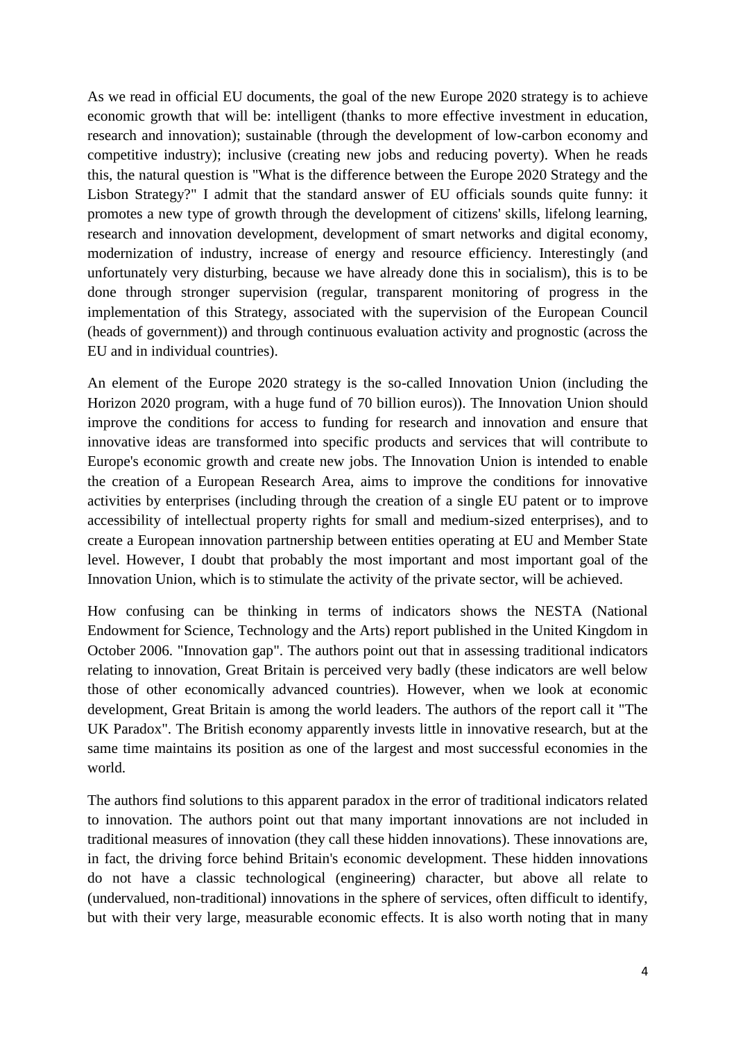As we read in official EU documents, the goal of the new Europe 2020 strategy is to achieve economic growth that will be: intelligent (thanks to more effective investment in education, research and innovation); sustainable (through the development of low-carbon economy and competitive industry); inclusive (creating new jobs and reducing poverty). When he reads this, the natural question is "What is the difference between the Europe 2020 Strategy and the Lisbon Strategy?" I admit that the standard answer of EU officials sounds quite funny: it promotes a new type of growth through the development of citizens' skills, lifelong learning, research and innovation development, development of smart networks and digital economy, modernization of industry, increase of energy and resource efficiency. Interestingly (and unfortunately very disturbing, because we have already done this in socialism), this is to be done through stronger supervision (regular, transparent monitoring of progress in the implementation of this Strategy, associated with the supervision of the European Council (heads of government)) and through continuous evaluation activity and prognostic (across the EU and in individual countries).

An element of the Europe 2020 strategy is the so-called Innovation Union (including the Horizon 2020 program, with a huge fund of 70 billion euros)). The Innovation Union should improve the conditions for access to funding for research and innovation and ensure that innovative ideas are transformed into specific products and services that will contribute to Europe's economic growth and create new jobs. The Innovation Union is intended to enable the creation of a European Research Area, aims to improve the conditions for innovative activities by enterprises (including through the creation of a single EU patent or to improve accessibility of intellectual property rights for small and medium-sized enterprises), and to create a European innovation partnership between entities operating at EU and Member State level. However, I doubt that probably the most important and most important goal of the Innovation Union, which is to stimulate the activity of the private sector, will be achieved.

How confusing can be thinking in terms of indicators shows the NESTA (National Endowment for Science, Technology and the Arts) report published in the United Kingdom in October 2006. "Innovation gap". The authors point out that in assessing traditional indicators relating to innovation, Great Britain is perceived very badly (these indicators are well below those of other economically advanced countries). However, when we look at economic development, Great Britain is among the world leaders. The authors of the report call it "The UK Paradox". The British economy apparently invests little in innovative research, but at the same time maintains its position as one of the largest and most successful economies in the world.

The authors find solutions to this apparent paradox in the error of traditional indicators related to innovation. The authors point out that many important innovations are not included in traditional measures of innovation (they call these hidden innovations). These innovations are, in fact, the driving force behind Britain's economic development. These hidden innovations do not have a classic technological (engineering) character, but above all relate to (undervalued, non-traditional) innovations in the sphere of services, often difficult to identify, but with their very large, measurable economic effects. It is also worth noting that in many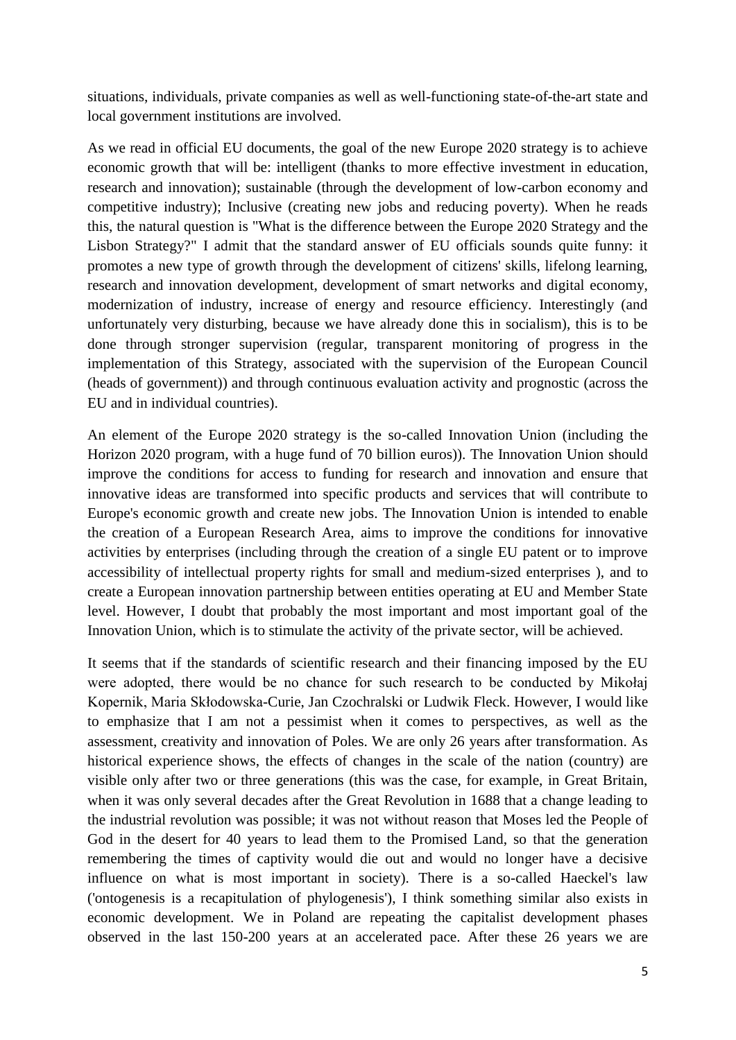situations, individuals, private companies as well as well-functioning state-of-the-art state and local government institutions are involved.

As we read in official EU documents, the goal of the new Europe 2020 strategy is to achieve economic growth that will be: intelligent (thanks to more effective investment in education, research and innovation); sustainable (through the development of low-carbon economy and competitive industry); Inclusive (creating new jobs and reducing poverty). When he reads this, the natural question is "What is the difference between the Europe 2020 Strategy and the Lisbon Strategy?" I admit that the standard answer of EU officials sounds quite funny: it promotes a new type of growth through the development of citizens' skills, lifelong learning, research and innovation development, development of smart networks and digital economy, modernization of industry, increase of energy and resource efficiency. Interestingly (and unfortunately very disturbing, because we have already done this in socialism), this is to be done through stronger supervision (regular, transparent monitoring of progress in the implementation of this Strategy, associated with the supervision of the European Council (heads of government)) and through continuous evaluation activity and prognostic (across the EU and in individual countries).

An element of the Europe 2020 strategy is the so-called Innovation Union (including the Horizon 2020 program, with a huge fund of 70 billion euros)). The Innovation Union should improve the conditions for access to funding for research and innovation and ensure that innovative ideas are transformed into specific products and services that will contribute to Europe's economic growth and create new jobs. The Innovation Union is intended to enable the creation of a European Research Area, aims to improve the conditions for innovative activities by enterprises (including through the creation of a single EU patent or to improve accessibility of intellectual property rights for small and medium-sized enterprises ), and to create a European innovation partnership between entities operating at EU and Member State level. However, I doubt that probably the most important and most important goal of the Innovation Union, which is to stimulate the activity of the private sector, will be achieved.

It seems that if the standards of scientific research and their financing imposed by the EU were adopted, there would be no chance for such research to be conducted by Mikołaj Kopernik, Maria Skłodowska-Curie, Jan Czochralski or Ludwik Fleck. However, I would like to emphasize that I am not a pessimist when it comes to perspectives, as well as the assessment, creativity and innovation of Poles. We are only 26 years after transformation. As historical experience shows, the effects of changes in the scale of the nation (country) are visible only after two or three generations (this was the case, for example, in Great Britain, when it was only several decades after the Great Revolution in 1688 that a change leading to the industrial revolution was possible; it was not without reason that Moses led the People of God in the desert for 40 years to lead them to the Promised Land, so that the generation remembering the times of captivity would die out and would no longer have a decisive influence on what is most important in society). There is a so-called Haeckel's law ('ontogenesis is a recapitulation of phylogenesis'), I think something similar also exists in economic development. We in Poland are repeating the capitalist development phases observed in the last 150-200 years at an accelerated pace. After these 26 years we are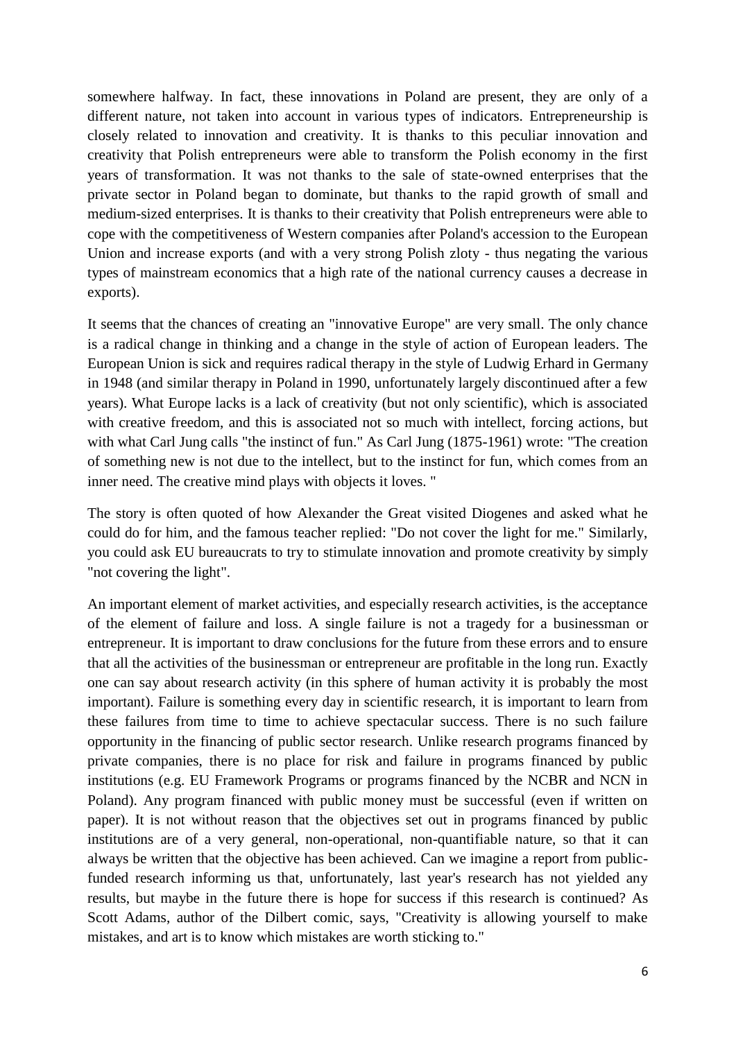somewhere halfway. In fact, these innovations in Poland are present, they are only of a different nature, not taken into account in various types of indicators. Entrepreneurship is closely related to innovation and creativity. It is thanks to this peculiar innovation and creativity that Polish entrepreneurs were able to transform the Polish economy in the first years of transformation. It was not thanks to the sale of state-owned enterprises that the private sector in Poland began to dominate, but thanks to the rapid growth of small and medium-sized enterprises. It is thanks to their creativity that Polish entrepreneurs were able to cope with the competitiveness of Western companies after Poland's accession to the European Union and increase exports (and with a very strong Polish zloty - thus negating the various types of mainstream economics that a high rate of the national currency causes a decrease in exports).

It seems that the chances of creating an "innovative Europe" are very small. The only chance is a radical change in thinking and a change in the style of action of European leaders. The European Union is sick and requires radical therapy in the style of Ludwig Erhard in Germany in 1948 (and similar therapy in Poland in 1990, unfortunately largely discontinued after a few years). What Europe lacks is a lack of creativity (but not only scientific), which is associated with creative freedom, and this is associated not so much with intellect, forcing actions, but with what Carl Jung calls "the instinct of fun." As Carl Jung (1875-1961) wrote: "The creation of something new is not due to the intellect, but to the instinct for fun, which comes from an inner need. The creative mind plays with objects it loves. "

The story is often quoted of how Alexander the Great visited Diogenes and asked what he could do for him, and the famous teacher replied: "Do not cover the light for me." Similarly, you could ask EU bureaucrats to try to stimulate innovation and promote creativity by simply "not covering the light".

An important element of market activities, and especially research activities, is the acceptance of the element of failure and loss. A single failure is not a tragedy for a businessman or entrepreneur. It is important to draw conclusions for the future from these errors and to ensure that all the activities of the businessman or entrepreneur are profitable in the long run. Exactly one can say about research activity (in this sphere of human activity it is probably the most important). Failure is something every day in scientific research, it is important to learn from these failures from time to time to achieve spectacular success. There is no such failure opportunity in the financing of public sector research. Unlike research programs financed by private companies, there is no place for risk and failure in programs financed by public institutions (e.g. EU Framework Programs or programs financed by the NCBR and NCN in Poland). Any program financed with public money must be successful (even if written on paper). It is not without reason that the objectives set out in programs financed by public institutions are of a very general, non-operational, non-quantifiable nature, so that it can always be written that the objective has been achieved. Can we imagine a report from publicfunded research informing us that, unfortunately, last year's research has not yielded any results, but maybe in the future there is hope for success if this research is continued? As Scott Adams, author of the Dilbert comic, says, "Creativity is allowing yourself to make mistakes, and art is to know which mistakes are worth sticking to."